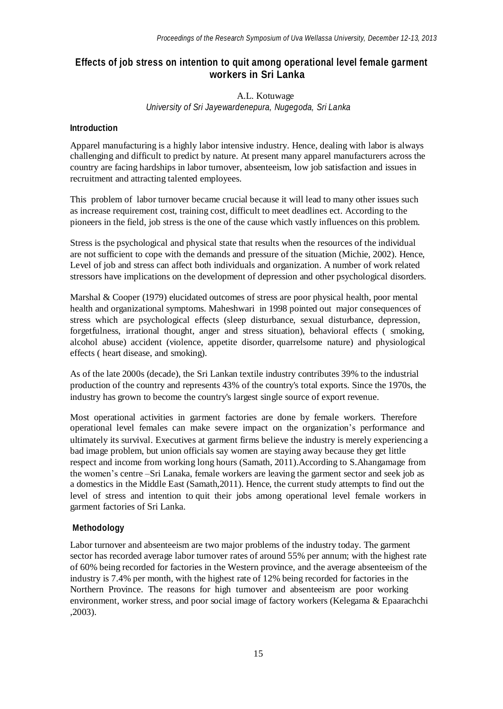# **Effects of job stress on intention to quit among operational level female garment workers in Sri Lanka**

# A.L. Kotuwage *University of Sri Jayewardenepura, Nugegoda, Sri Lanka*

# **Introduction**

Apparel manufacturing is a highly labor intensive industry. Hence, dealing with labor is always challenging and difficult to predict by nature. At present many apparel manufacturers across the country are facing hardships in labor turnover, absenteeism, low job satisfaction and issues in recruitment and attracting talented employees.

This problem of labor turnover became crucial because it will lead to many other issues such as increase requirement cost, training cost, difficult to meet deadlines ect. According to the pioneers in the field, job stress is the one of the cause which vastly influences on this problem.

Stress is the psychological and physical state that results when the resources of the individual are not sufficient to cope with the demands and pressure of the situation (Michie, 2002). Hence, Level of job and stress can affect both individuals and organization. A number of work related stressors have implications on the development of depression and other psychological disorders.

Marshal & Cooper (1979) elucidated outcomes of stress are poor physical health, poor mental health and organizational symptoms. Maheshwari in 1998 pointed out major consequences of stress which are psychological effects (sleep disturbance, sexual disturbance, depression, forgetfulness, irrational thought, anger and stress situation), behavioral effects ( smoking, alcohol abuse) accident (violence, appetite disorder, quarrelsome nature) and physiological effects ( heart disease, and smoking).

As of the late 2000s (decade), the Sri Lankan textile industry contributes 39% to the industrial production of the country and represents 43% of the country's total exports. Since the 1970s, the industry has grown to become the country's largest single source of export revenue.

Most operational activities in garment factories are done by female workers. Therefore operational level females can make severe impact on the organization's performance and ultimately its survival. Executives at garment firms believe the industry is merely experiencing a bad image problem, but union officials say women are staying away because they get little respect and income from working long hours (Samath, 2011).According to S.Ahangamage from the women's centre –Sri Lanaka, female workers are leaving the garment sector and seek job as a domestics in the Middle East (Samath,2011). Hence, the current study attempts to find out the level of stress and intention to quit their jobs among operational level female workers in garment factories of Sri Lanka.

# **Methodology**

Labor turnover and absenteeism are two major problems of the industry today. The garment sector has recorded average labor turnover rates of around 55% per annum; with the highest rate of 60% being recorded for factories in the Western province, and the average absenteeism of the industry is 7.4% per month, with the highest rate of 12% being recorded for factories in the Northern Province. The reasons for high turnover and absenteeism are poor working environment, worker stress, and poor social image of factory workers (Kelegama & Epaarachchi ,2003).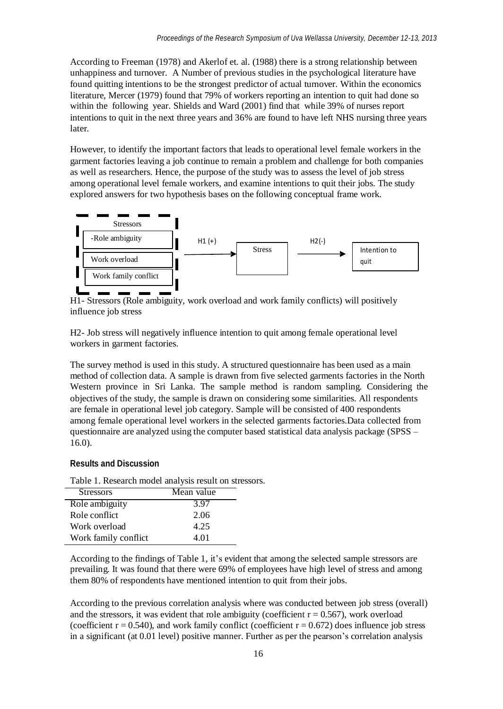According to Freeman (1978) and Akerlof et. al. (1988) there is a strong relationship between unhappiness and turnover. A Number of previous studies in the psychological literature have found quitting intentions to be the strongest predictor of actual turnover. Within the economics literature, Mercer (1979) found that 79% of workers reporting an intention to quit had done so within the following year. Shields and Ward (2001) find that while 39% of nurses report intentions to quit in the next three years and 36% are found to have left NHS nursing three years later.

However, to identify the important factors that leads to operational level female workers in the garment factories leaving a job continue to remain a problem and challenge for both companies as well as researchers. Hence, the purpose of the study was to assess the level of job stress among operational level female workers, and examine intentions to quit their jobs. The study explored answers for two hypothesis bases on the following conceptual frame work.



H1- Stressors (Role ambiguity, work overload and work family conflicts) will positively influence job stress

H2- Job stress will negatively influence intention to quit among female operational level workers in garment factories.

The survey method is used in this study. A structured questionnaire has been used as a main method of collection data. A sample is drawn from five selected garments factories in the North Western province in Sri Lanka. The sample method is random sampling. Considering the objectives of the study, the sample is drawn on considering some similarities. All respondents are female in operational level job category. Sample will be consisted of 400 respondents among female operational level workers in the selected garments factories.Data collected from questionnaire are analyzed using the computer based statistical data analysis package (SPSS – 16.0).

#### **Results and Discussion**

Table 1. Research model analysis result on stressors.

| <b>Stressors</b>     | Mean value |
|----------------------|------------|
| Role ambiguity       | 3.97       |
| Role conflict        | 2.06       |
| Work overload        | 4.25       |
| Work family conflict | 4.01       |

According to the findings of Table 1, it's evident that among the selected sample stressors are prevailing. It was found that there were 69% of employees have high level of stress and among them 80% of respondents have mentioned intention to quit from their jobs.

According to the previous correlation analysis where was conducted between job stress (overall) and the stressors, it was evident that role ambiguity (coefficient  $r = 0.567$ ), work overload (coefficient  $r = 0.540$ ), and work family conflict (coefficient  $r = 0.672$ ) does influence job stress in a significant (at 0.01 level) positive manner. Further as per the pearson's correlation analysis